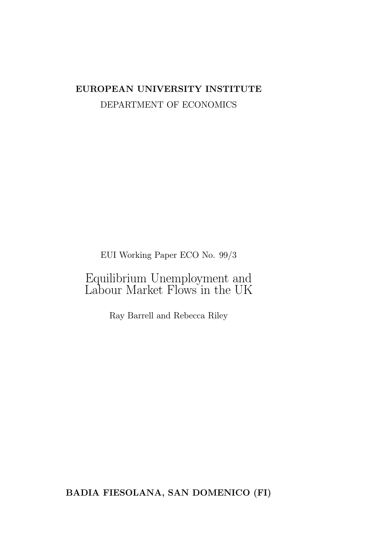# EUROPEAN UNIVERSITY INSTITUTE DEPARTMENT OF ECONOMICS

EUI Working Paper ECO No. 99/3

Equilibrium Unemployment and Labour Market Flows in the UK

Ray Barrell and Rebecca Riley

BADIA FIESOLANA, SAN DOMENICO (FI)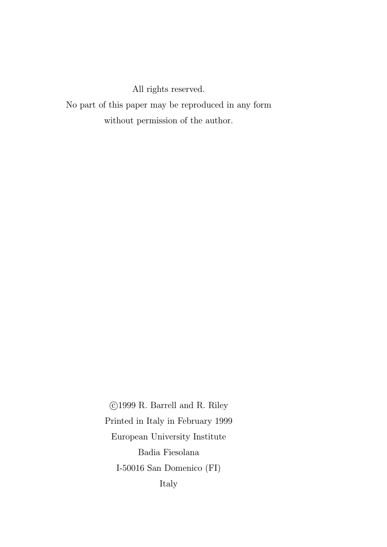All rights reserved.

No part of this paper may be reproduced in any form without permission of the author.

> °c 1999 R. Barrell and R. Riley Printed in Italy in February 1999 European University Institute Badia Fiesolana I-50016 San Domenico (FI) Italy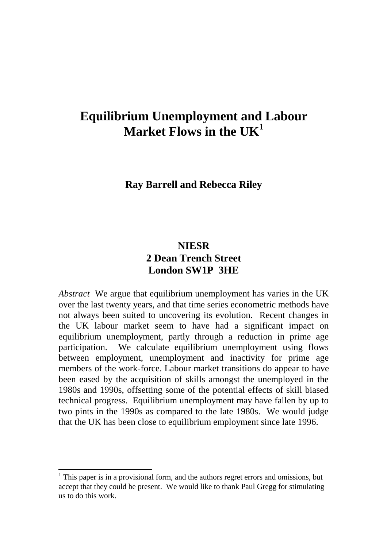# **Equilibrium Unemployment and Labour Market Flows in the UK<sup>1</sup>**

### **Ray Barrell and Rebecca Riley**

# **NIESR 2 Dean Trench Street London SW1P 3HE**

*Abstract* We argue that equilibrium unemployment has varies in the UK over the last twenty years, and that time series econometric methods have not always been suited to uncovering its evolution. Recent changes in the UK labour market seem to have had a significant impact on equilibrium unemployment, partly through a reduction in prime age participation. We calculate equilibrium unemployment using flows between employment, unemployment and inactivity for prime age members of the work-force. Labour market transitions do appear to have been eased by the acquisition of skills amongst the unemployed in the 1980s and 1990s, offsetting some of the potential effects of skill biased technical progress. Equilibrium unemployment may have fallen by up to two pints in the 1990s as compared to the late 1980s. We would judge that the UK has been close to equilibrium employment since late 1996.

 $\overline{a}$ 

 $<sup>1</sup>$  This paper is in a provisional form, and the authors regret errors and omissions, but</sup> accept that they could be present. We would like to thank Paul Gregg for stimulating us to do this work.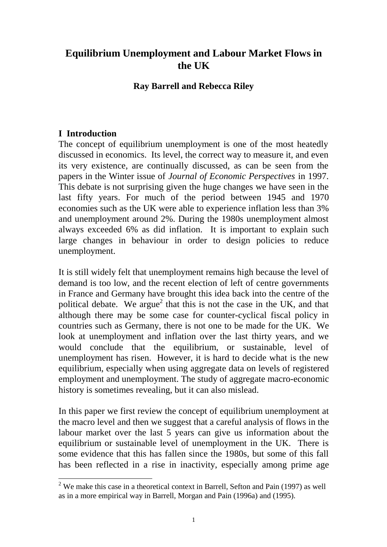## **Equilibrium Unemployment and Labour Market Flows in the UK**

#### **Ray Barrell and Rebecca Riley**

### **I Introduction**

 $\overline{a}$ 

The concept of equilibrium unemployment is one of the most heatedly discussed in economics. Its level, the correct way to measure it, and even its very existence, are continually discussed, as can be seen from the papers in the Winter issue of *Journal of Economic Perspectives* in 1997. This debate is not surprising given the huge changes we have seen in the last fifty years. For much of the period between 1945 and 1970 economies such as the UK were able to experience inflation less than 3% and unemployment around 2%. During the 1980s unemployment almost always exceeded 6% as did inflation. It is important to explain such large changes in behaviour in order to design policies to reduce unemployment.

It is still widely felt that unemployment remains high because the level of demand is too low, and the recent election of left of centre governments in France and Germany have brought this idea back into the centre of the political debate. We argue<sup>2</sup> that this is not the case in the UK, and that although there may be some case for counter-cyclical fiscal policy in countries such as Germany, there is not one to be made for the UK. We look at unemployment and inflation over the last thirty years, and we would conclude that the equilibrium, or sustainable, level of unemployment has risen. However, it is hard to decide what is the new equilibrium, especially when using aggregate data on levels of registered employment and unemployment. The study of aggregate macro-economic history is sometimes revealing, but it can also mislead.

In this paper we first review the concept of equilibrium unemployment at the macro level and then we suggest that a careful analysis of flows in the labour market over the last 5 years can give us information about the equilibrium or sustainable level of unemployment in the UK. There is some evidence that this has fallen since the 1980s, but some of this fall has been reflected in a rise in inactivity, especially among prime age

 $2$  We make this case in a theoretical context in Barrell, Sefton and Pain (1997) as well as in a more empirical way in Barrell, Morgan and Pain (1996a) and (1995).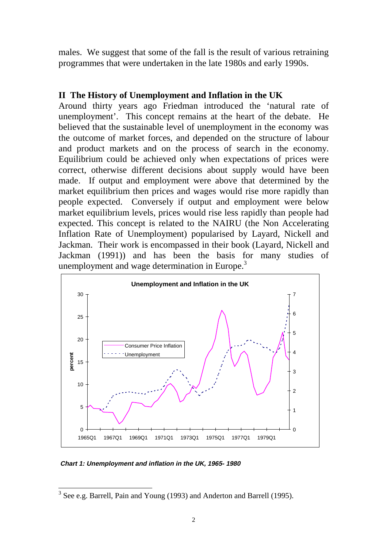males. We suggest that some of the fall is the result of various retraining programmes that were undertaken in the late 1980s and early 1990s.

#### **II The History of Unemployment and Inflation in the UK**

Around thirty years ago Friedman introduced the 'natural rate of unemployment'. This concept remains at the heart of the debate. He believed that the sustainable level of unemployment in the economy was the outcome of market forces, and depended on the structure of labour and product markets and on the process of search in the economy. Equilibrium could be achieved only when expectations of prices were correct, otherwise different decisions about supply would have been made. If output and employment were above that determined by the market equilibrium then prices and wages would rise more rapidly than people expected. Conversely if output and employment were below market equilibrium levels, prices would rise less rapidly than people had expected. This concept is related to the NAIRU (the Non Accelerating Inflation Rate of Unemployment) popularised by Layard, Nickell and Jackman. Their work is encompassed in their book (Layard, Nickell and Jackman (1991)) and has been the basis for many studies of unemployment and wage determination in Europe.<sup>3</sup>



**Chart 1: Unemployment and inflation in the UK, 1965- 1980**

 $\overline{\phantom{a}}$  $3$  See e.g. Barrell, Pain and Young (1993) and Anderton and Barrell (1995).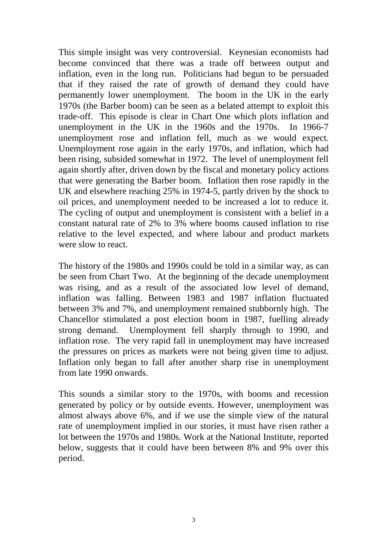This simple insight was very controversial. Keynesian economists had become convinced that there was a trade off between output and inflation, even in the long run. Politicians had begun to be persuaded that if they raised the rate of growth of demand they could have permanently lower unemployment. The boom in the UK in the early 1970s (the Barber boom) can be seen as a belated attempt to exploit this trade-off. This episode is clear in Chart One which plots inflation and unemployment in the UK in the 1960s and the 1970s. In 1966-7 unemployment rose and inflation fell, much as we would expect. Unemployment rose again in the early 1970s, and inflation, which had been rising, subsided somewhat in 1972. The level of unemployment fell again shortly after, driven down by the fiscal and monetary policy actions that were generating the Barber boom. Inflation then rose rapidly in the UK and elsewhere reaching 25% in 1974-5, partly driven by the shock to oil prices, and unemployment needed to be increased a lot to reduce it. The cycling of output and unemployment is consistent with a belief in a constant natural rate of 2% to 3% where booms caused inflation to rise relative to the level expected, and where labour and product markets were slow to react.

The history of the 1980s and 1990s could be told in a similar way, as can be seen from Chart Two. At the beginning of the decade unemployment was rising, and as a result of the associated low level of demand, inflation was falling. Between 1983 and 1987 inflation fluctuated between 3% and 7%, and unemployment remained stubbornly high. The Chancellor stimulated a post election boom in 1987, fuelling already strong demand. Unemployment fell sharply through to 1990, and inflation rose. The very rapid fall in unemployment may have increased the pressures on prices as markets were not being given time to adjust. Inflation only began to fall after another sharp rise in unemployment from late 1990 onwards.

This sounds a similar story to the 1970s, with booms and recession generated by policy or by outside events. However, unemployment was almost always above 6%, and if we use the simple view of the natural rate of unemployment implied in our stories, it must have risen rather a lot between the 1970s and 1980s. Work at the National Institute, reported below, suggests that it could have been between 8% and 9% over this period.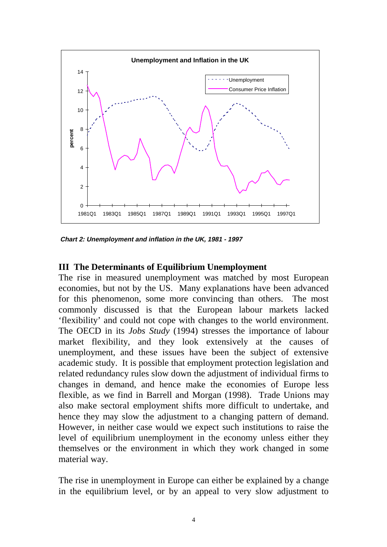

**Chart 2: Unemployment and inflation in the UK, 1981 - 1997**

#### **III The Determinants of Equilibrium Unemployment**

The rise in measured unemployment was matched by most European economies, but not by the US. Many explanations have been advanced for this phenomenon, some more convincing than others. The most commonly discussed is that the European labour markets lacked 'flexibility' and could not cope with changes to the world environment. The OECD in its *Jobs Study* (1994) stresses the importance of labour market flexibility, and they look extensively at the causes of unemployment, and these issues have been the subject of extensive academic study. It is possible that employment protection legislation and related redundancy rules slow down the adjustment of individual firms to changes in demand, and hence make the economies of Europe less flexible, as we find in Barrell and Morgan (1998). Trade Unions may also make sectoral employment shifts more difficult to undertake, and hence they may slow the adjustment to a changing pattern of demand. However, in neither case would we expect such institutions to raise the level of equilibrium unemployment in the economy unless either they themselves or the environment in which they work changed in some material way.

The rise in unemployment in Europe can either be explained by a change in the equilibrium level, or by an appeal to very slow adjustment to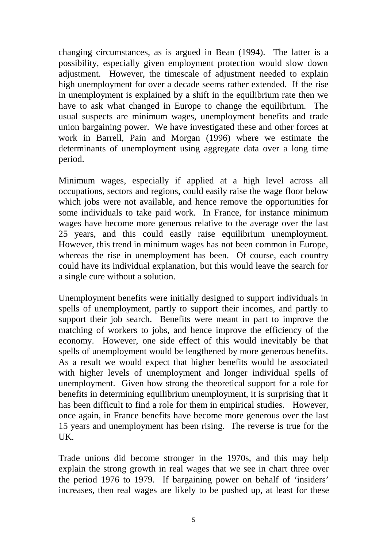changing circumstances, as is argued in Bean (1994). The latter is a possibility, especially given employment protection would slow down adjustment. However, the timescale of adjustment needed to explain high unemployment for over a decade seems rather extended. If the rise in unemployment is explained by a shift in the equilibrium rate then we have to ask what changed in Europe to change the equilibrium. The usual suspects are minimum wages, unemployment benefits and trade union bargaining power. We have investigated these and other forces at work in Barrell, Pain and Morgan (1996) where we estimate the determinants of unemployment using aggregate data over a long time period.

Minimum wages, especially if applied at a high level across all occupations, sectors and regions, could easily raise the wage floor below which jobs were not available, and hence remove the opportunities for some individuals to take paid work. In France, for instance minimum wages have become more generous relative to the average over the last 25 years, and this could easily raise equilibrium unemployment. However, this trend in minimum wages has not been common in Europe, whereas the rise in unemployment has been. Of course, each country could have its individual explanation, but this would leave the search for a single cure without a solution.

Unemployment benefits were initially designed to support individuals in spells of unemployment, partly to support their incomes, and partly to support their job search. Benefits were meant in part to improve the matching of workers to jobs, and hence improve the efficiency of the economy. However, one side effect of this would inevitably be that spells of unemployment would be lengthened by more generous benefits. As a result we would expect that higher benefits would be associated with higher levels of unemployment and longer individual spells of unemployment. Given how strong the theoretical support for a role for benefits in determining equilibrium unemployment, it is surprising that it has been difficult to find a role for them in empirical studies. However, once again, in France benefits have become more generous over the last 15 years and unemployment has been rising. The reverse is true for the UK.

Trade unions did become stronger in the 1970s, and this may help explain the strong growth in real wages that we see in chart three over the period 1976 to 1979. If bargaining power on behalf of 'insiders' increases, then real wages are likely to be pushed up, at least for these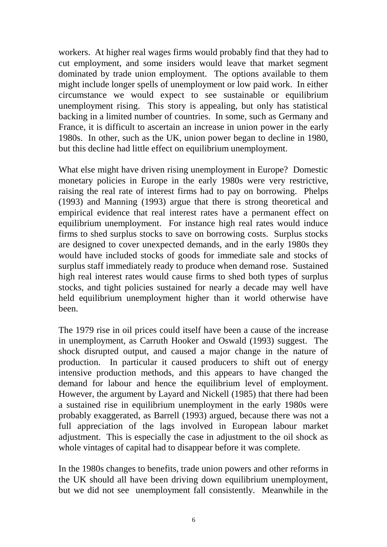workers. At higher real wages firms would probably find that they had to cut employment, and some insiders would leave that market segment dominated by trade union employment. The options available to them might include longer spells of unemployment or low paid work. In either circumstance we would expect to see sustainable or equilibrium unemployment rising. This story is appealing, but only has statistical backing in a limited number of countries. In some, such as Germany and France, it is difficult to ascertain an increase in union power in the early 1980s. In other, such as the UK, union power began to decline in 1980, but this decline had little effect on equilibrium unemployment.

What else might have driven rising unemployment in Europe? Domestic monetary policies in Europe in the early 1980s were very restrictive, raising the real rate of interest firms had to pay on borrowing. Phelps (1993) and Manning (1993) argue that there is strong theoretical and empirical evidence that real interest rates have a permanent effect on equilibrium unemployment. For instance high real rates would induce firms to shed surplus stocks to save on borrowing costs. Surplus stocks are designed to cover unexpected demands, and in the early 1980s they would have included stocks of goods for immediate sale and stocks of surplus staff immediately ready to produce when demand rose. Sustained high real interest rates would cause firms to shed both types of surplus stocks, and tight policies sustained for nearly a decade may well have held equilibrium unemployment higher than it world otherwise have been.

The 1979 rise in oil prices could itself have been a cause of the increase in unemployment, as Carruth Hooker and Oswald (1993) suggest. The shock disrupted output, and caused a major change in the nature of production. In particular it caused producers to shift out of energy intensive production methods, and this appears to have changed the demand for labour and hence the equilibrium level of employment. However, the argument by Layard and Nickell (1985) that there had been a sustained rise in equilibrium unemployment in the early 1980s were probably exaggerated, as Barrell (1993) argued, because there was not a full appreciation of the lags involved in European labour market adjustment. This is especially the case in adjustment to the oil shock as whole vintages of capital had to disappear before it was complete.

In the 1980s changes to benefits, trade union powers and other reforms in the UK should all have been driving down equilibrium unemployment, but we did not see unemployment fall consistently. Meanwhile in the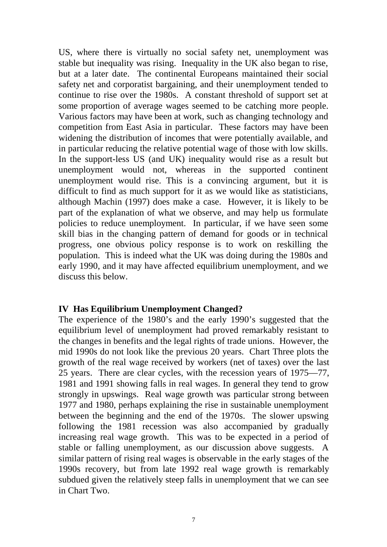US, where there is virtually no social safety net, unemployment was stable but inequality was rising. Inequality in the UK also began to rise, but at a later date. The continental Europeans maintained their social safety net and corporatist bargaining, and their unemployment tended to continue to rise over the 1980s. A constant threshold of support set at some proportion of average wages seemed to be catching more people. Various factors may have been at work, such as changing technology and competition from East Asia in particular. These factors may have been widening the distribution of incomes that were potentially available, and in particular reducing the relative potential wage of those with low skills. In the support-less US (and UK) inequality would rise as a result but unemployment would not, whereas in the supported continent unemployment would rise. This is a convincing argument, but it is difficult to find as much support for it as we would like as statisticians, although Machin (1997) does make a case. However, it is likely to be part of the explanation of what we observe, and may help us formulate policies to reduce unemployment. In particular, if we have seen some skill bias in the changing pattern of demand for goods or in technical progress, one obvious policy response is to work on reskilling the population. This is indeed what the UK was doing during the 1980s and early 1990, and it may have affected equilibrium unemployment, and we discuss this below.

#### **IV Has Equilibrium Unemployment Changed?**

The experience of the 1980's and the early 1990's suggested that the equilibrium level of unemployment had proved remarkably resistant to the changes in benefits and the legal rights of trade unions. However, the mid 1990s do not look like the previous 20 years. Chart Three plots the growth of the real wage received by workers (net of taxes) over the last 25 years. There are clear cycles, with the recession years of 1975—77, 1981 and 1991 showing falls in real wages. In general they tend to grow strongly in upswings. Real wage growth was particular strong between 1977 and 1980, perhaps explaining the rise in sustainable unemployment between the beginning and the end of the 1970s. The slower upswing following the 1981 recession was also accompanied by gradually increasing real wage growth. This was to be expected in a period of stable or falling unemployment, as our discussion above suggests. A similar pattern of rising real wages is observable in the early stages of the 1990s recovery, but from late 1992 real wage growth is remarkably subdued given the relatively steep falls in unemployment that we can see in Chart Two.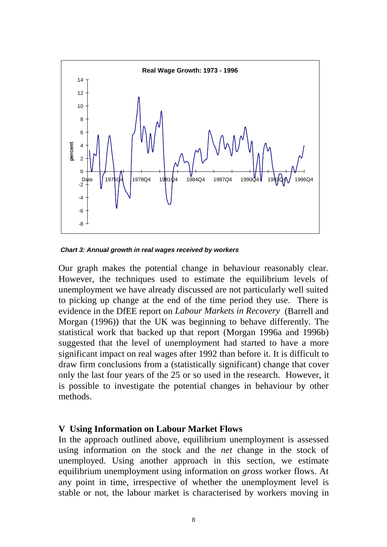

**Chart 3: Annual growth in real wages received by workers**

Our graph makes the potential change in behaviour reasonably clear. However, the techniques used to estimate the equilibrium levels of unemployment we have already discussed are not particularly well suited to picking up change at the end of the time period they use. There is evidence in the DfEE report on *Labour Markets in Recovery* (Barrell and Morgan (1996)) that the UK was beginning to behave differently. The statistical work that backed up that report (Morgan 1996a and 1996b) suggested that the level of unemployment had started to have a more significant impact on real wages after 1992 than before it. It is difficult to draw firm conclusions from a (statistically significant) change that cover only the last four years of the 25 or so used in the research. However, it is possible to investigate the potential changes in behaviour by other methods.

#### **V Using Information on Labour Market Flows**

In the approach outlined above, equilibrium unemployment is assessed using information on the stock and the *net* change in the stock of unemployed. Using another approach in this section, we estimate equilibrium unemployment using information on *gross* worker flows. At any point in time, irrespective of whether the unemployment level is stable or not, the labour market is characterised by workers moving in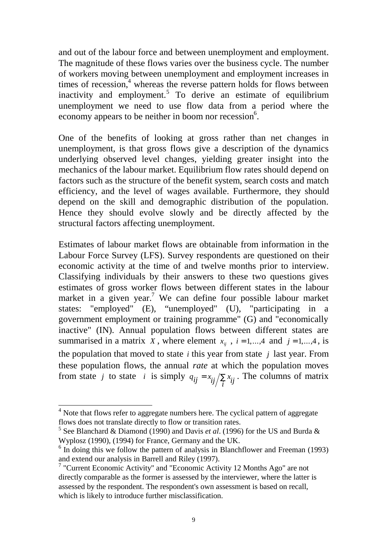and out of the labour force and between unemployment and employment. The magnitude of these flows varies over the business cycle. The number of workers moving between unemployment and employment increases in times of recession,<sup>4</sup> whereas the reverse pattern holds for flows between inactivity and employment.<sup>5</sup> To derive an estimate of equilibrium unemployment we need to use flow data from a period where the economy appears to be neither in boom nor recession<sup>6</sup>.

One of the benefits of looking at gross rather than net changes in unemployment, is that gross flows give a description of the dynamics underlying observed level changes, yielding greater insight into the mechanics of the labour market. Equilibrium flow rates should depend on factors such as the structure of the benefit system, search costs and match efficiency, and the level of wages available. Furthermore, they should depend on the skill and demographic distribution of the population. Hence they should evolve slowly and be directly affected by the structural factors affecting unemployment.

Estimates of labour market flows are obtainable from information in the Labour Force Survey (LFS). Survey respondents are questioned on their economic activity at the time of and twelve months prior to interview. Classifying individuals by their answers to these two questions gives estimates of gross worker flows between different states in the labour market in a given year.<sup>7</sup> We can define four possible labour market states: "employed" (E), "unemployed" (U), "participating in a government employment or training programme" (G) and "economically inactive" (IN). Annual population flows between different states are summarised in a matrix *X*, where element  $x_{ij}$ ,  $i = 1, \dots, 4$  and  $j = 1, \dots, 4$ , is the population that moved to state *i* this year from state *j* last year. From these population flows, the annual *rate* at which the population moves from state *j* to state *i* is simply  $q_{ij} = x_{ij}/\sum_{i} x_{ij}$ . The columns of matrix

<sup>&</sup>lt;sup>4</sup> Note that flows refer to aggregate numbers here. The cyclical pattern of aggregate flows does not translate directly to flow or transition rates.

<sup>5</sup> See Blanchard & Diamond (1990) and Davis *et al*. (1996) for the US and Burda & Wyplosz (1990), (1994) for France, Germany and the UK.

<sup>&</sup>lt;sup>6</sup> In doing this we follow the pattern of analysis in Blanchflower and Freeman (1993) and extend our analysis in Barrell and Riley (1997).

<sup>&</sup>lt;sup>7</sup> "Current Economic Activity" and "Economic Activity 12 Months Ago" are not directly comparable as the former is assessed by the interviewer, where the latter is assessed by the respondent. The respondent's own assessment is based on recall, which is likely to introduce further misclassification.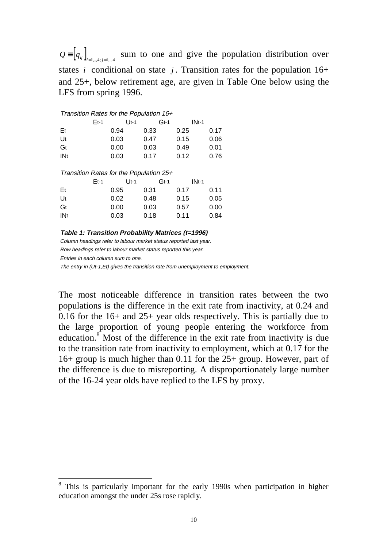$Q = [ q_{ij} ]_{i=1...4 \times 10^{-4} }$  sum to one and give the population distribution over states *i* conditional on state *j*. Transition rates for the population  $16+$ and 25+, below retirement age, are given in Table One below using the LFS from spring 1996.

| Transition Rates for the Population 16+ |        |        |        |         |  |  |  |  |
|-----------------------------------------|--------|--------|--------|---------|--|--|--|--|
|                                         | $Et-1$ | $Ut-1$ | $Gt-1$ | $INt-1$ |  |  |  |  |
| Et                                      | 0.94   | 0.33   | 0.25   | 0.17    |  |  |  |  |
| Ut                                      | 0.03   | 0.47   | 0.15   | 0.06    |  |  |  |  |
| Gt                                      | 0.00   | 0.03   | 0.49   | 0.01    |  |  |  |  |
| <b>INt</b>                              | 0.03   | 0.17   | 0.12   | 0.76    |  |  |  |  |
| Transition Rates for the Population 25+ |        |        |        |         |  |  |  |  |
|                                         | $Et-1$ | $Ut-1$ | $Gt-1$ | $INt-1$ |  |  |  |  |
| Et                                      | 0.95   | 0.31   | 0.17   | 0.11    |  |  |  |  |
| Ut                                      | 0.02   | 0.48   | 0.15   | 0.05    |  |  |  |  |
| Gt                                      | 0.00   | 0.03   | 0.57   | 0.00    |  |  |  |  |
| <b>INt</b>                              | 0.03   | 0.18   | 0.11   | 0.84    |  |  |  |  |

**Table 1: Transition Probability Matrices (t=1996)**

Column headings refer to labour market status reported last year. Row headings refer to labour market status reported this year.

Entries in each column sum to one.

The entry in (Ut-1, Et) gives the transition rate from unemployment to employment.

The most noticeable difference in transition rates between the two populations is the difference in the exit rate from inactivity, at 0.24 and 0.16 for the 16+ and 25+ year olds respectively. This is partially due to the large proportion of young people entering the workforce from education.<sup>8</sup> Most of the difference in the exit rate from inactivity is due to the transition rate from inactivity to employment, which at 0.17 for the 16+ group is much higher than 0.11 for the 25+ group. However, part of the difference is due to misreporting. A disproportionately large number of the 16-24 year olds have replied to the LFS by proxy.

<sup>&</sup>lt;sup>8</sup> This is particularly important for the early 1990s when participation in higher education amongst the under 25s rose rapidly.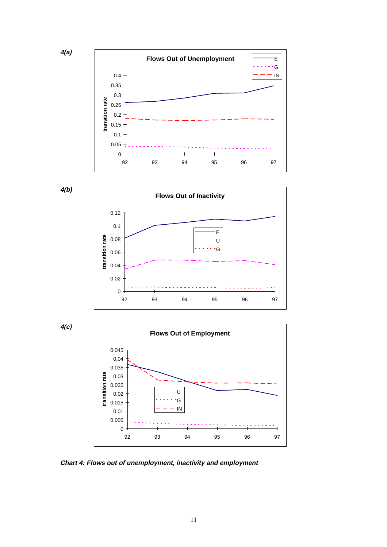

**4(b)**



**4(c)**



**Chart 4: Flows out of unemployment, inactivity and employment**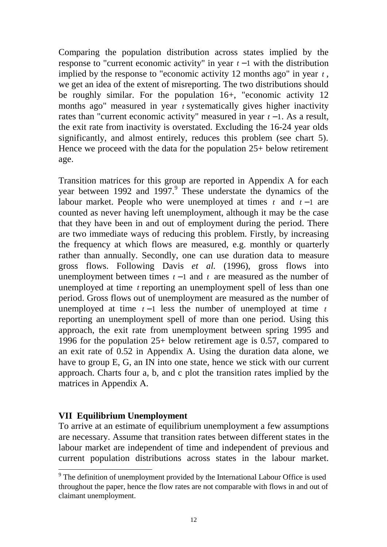Comparing the population distribution across states implied by the response to "current economic activity" in year *t* − 1 with the distribution implied by the response to "economic activity 12 months ago" in year *t* , we get an idea of the extent of misreporting. The two distributions should be roughly similar. For the population 16+, "economic activity 12 months ago" measured in year *t* systematically gives higher inactivity rates than "current economic activity" measured in year *t* − 1. As a result, the exit rate from inactivity is overstated. Excluding the 16-24 year olds significantly, and almost entirely, reduces this problem (see chart 5). Hence we proceed with the data for the population  $25+$  below retirement age.

Transition matrices for this group are reported in Appendix A for each year between 1992 and 1997.<sup>9</sup> These understate the dynamics of the labour market. People who were unemployed at times *t* and *t* − 1 are counted as never having left unemployment, although it may be the case that they have been in and out of employment during the period. There are two immediate ways of reducing this problem. Firstly, by increasing the frequency at which flows are measured, e.g. monthly or quarterly rather than annually. Secondly, one can use duration data to measure gross flows. Following Davis *et al.* (1996), gross flows into unemployment between times  $t-1$  and  $t$  are measured as the number of unemployed at time *t* reporting an unemployment spell of less than one period. Gross flows out of unemployment are measured as the number of unemployed at time  $t-1$  less the number of unemployed at time  $t$ reporting an unemployment spell of more than one period. Using this approach, the exit rate from unemployment between spring 1995 and 1996 for the population 25+ below retirement age is 0.57, compared to an exit rate of 0.52 in Appendix A. Using the duration data alone, we have to group E, G, an IN into one state, hence we stick with our current approach. Charts four a, b, and c plot the transition rates implied by the matrices in Appendix A.

#### **VII Equilibrium Unemployment**

 $\overline{a}$ 

To arrive at an estimate of equilibrium unemployment a few assumptions are necessary. Assume that transition rates between different states in the labour market are independent of time and independent of previous and current population distributions across states in the labour market.

<sup>&</sup>lt;sup>9</sup> The definition of unemployment provided by the International Labour Office is used throughout the paper, hence the flow rates are not comparable with flows in and out of claimant unemployment.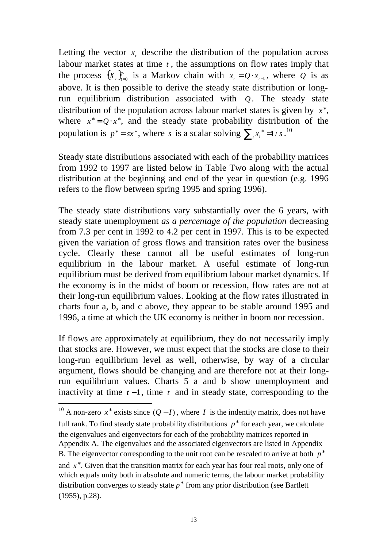Letting the vector  $x_t$  describe the distribution of the population across labour market states at time *t* , the assumptions on flow rates imply that the process  $\{X_t\}_{t=0}^{\infty}$  is a Markov chain with  $x_t = Q \cdot x_{t-1}$ , where Q is as above. It is then possible to derive the steady state distribution or longrun equilibrium distribution associated with *Q*. The steady state distribution of the population across labour market states is given by  $x^*$ , where  $x^* = Q \cdot x^*$ , and the steady state probability distribution of the population is  $p^* = sx^*$ , where *s* is a scalar solving  $\sum_i x_i^* = 1/s$ .<sup>10</sup>

Steady state distributions associated with each of the probability matrices from 1992 to 1997 are listed below in Table Two along with the actual distribution at the beginning and end of the year in question (e.g. 1996 refers to the flow between spring 1995 and spring 1996).

The steady state distributions vary substantially over the 6 years, with steady state unemployment *as a percentage of the population* decreasing from 7.3 per cent in 1992 to 4.2 per cent in 1997. This is to be expected given the variation of gross flows and transition rates over the business cycle. Clearly these cannot all be useful estimates of long-run equilibrium in the labour market. A useful estimate of long-run equilibrium must be derived from equilibrium labour market dynamics. If the economy is in the midst of boom or recession, flow rates are not at their long-run equilibrium values. Looking at the flow rates illustrated in charts four a, b, and c above, they appear to be stable around 1995 and 1996, a time at which the UK economy is neither in boom nor recession.

If flows are approximately at equilibrium, they do not necessarily imply that stocks are. However, we must expect that the stocks are close to their long-run equilibrium level as well, otherwise, by way of a circular argument, flows should be changing and are therefore not at their longrun equilibrium values. Charts 5 a and b show unemployment and inactivity at time  $t - 1$ , time  $t$  and in steady state, corresponding to the

 $\overline{a}$ 

<sup>&</sup>lt;sup>10</sup> A non-zero  $x^*$  exists since  $(Q-I)$ , where *I* is the indentity matrix, does not have full rank. To find steady state probability distributions  $p^*$  for each year, we calculate the eigenvalues and eigenvectors for each of the probability matrices reported in Appendix A. The eigenvalues and the associated eigenvectors are listed in Appendix B. The eigenvector corresponding to the unit root can be rescaled to arrive at both *p*<sup>∗</sup> and  $x^*$ . Given that the transition matrix for each year has four real roots, only one of which equals unity both in absolute and numeric terms, the labour market probability distribution converges to steady state  $p^*$  from any prior distribution (see Bartlett (1955), p.28).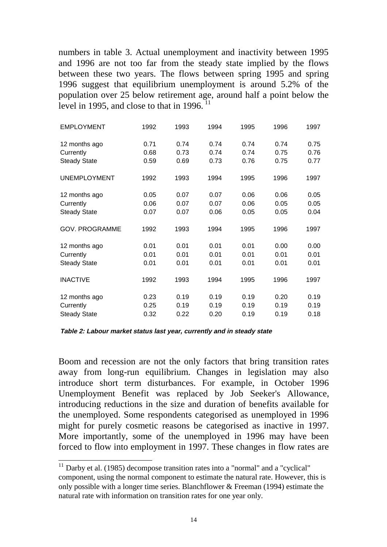numbers in table 3. Actual unemployment and inactivity between 1995 and 1996 are not too far from the steady state implied by the flows between these two years. The flows between spring 1995 and spring 1996 suggest that equilibrium unemployment is around 5.2% of the population over 25 below retirement age, around half a point below the level in 1995, and close to that in 1996.  $11$ 

| <b>EMPLOYMENT</b>     | 1992 | 1993 | 1994 | 1995 | 1996 | 1997 |
|-----------------------|------|------|------|------|------|------|
| 12 months ago         | 0.71 | 0.74 | 0.74 | 0.74 | 0.74 | 0.75 |
| Currently             | 0.68 | 0.73 | 0.74 | 0.74 | 0.75 | 0.76 |
| <b>Steady State</b>   | 0.59 | 0.69 | 0.73 | 0.76 | 0.75 | 0.77 |
| <b>UNEMPLOYMENT</b>   | 1992 | 1993 | 1994 | 1995 | 1996 | 1997 |
| 12 months ago         | 0.05 | 0.07 | 0.07 | 0.06 | 0.06 | 0.05 |
| Currently             | 0.06 | 0.07 | 0.07 | 0.06 | 0.05 | 0.05 |
| <b>Steady State</b>   | 0.07 | 0.07 | 0.06 | 0.05 | 0.05 | 0.04 |
| <b>GOV. PROGRAMME</b> | 1992 | 1993 | 1994 | 1995 | 1996 | 1997 |
| 12 months ago         | 0.01 | 0.01 | 0.01 | 0.01 | 0.00 | 0.00 |
| Currently             | 0.01 | 0.01 | 0.01 | 0.01 | 0.01 | 0.01 |
| <b>Steady State</b>   | 0.01 | 0.01 | 0.01 | 0.01 | 0.01 | 0.01 |
| <b>INACTIVE</b>       | 1992 | 1993 | 1994 | 1995 | 1996 | 1997 |
| 12 months ago         | 0.23 | 0.19 | 0.19 | 0.19 | 0.20 | 0.19 |
| Currently             | 0.25 | 0.19 | 0.19 | 0.19 | 0.19 | 0.19 |
| <b>Steady State</b>   | 0.32 | 0.22 | 0.20 | 0.19 | 0.19 | 0.18 |

**Table 2: Labour market status last year, currently and in steady state**

 $\overline{a}$ 

Boom and recession are not the only factors that bring transition rates away from long-run equilibrium. Changes in legislation may also introduce short term disturbances. For example, in October 1996 Unemployment Benefit was replaced by Job Seeker's Allowance, introducing reductions in the size and duration of benefits available for the unemployed. Some respondents categorised as unemployed in 1996 might for purely cosmetic reasons be categorised as inactive in 1997. More importantly, some of the unemployed in 1996 may have been forced to flow into employment in 1997. These changes in flow rates are

 $11$  Darby et al. (1985) decompose transition rates into a "normal" and a "cyclical" component, using the normal component to estimate the natural rate. However, this is only possible with a longer time series. Blanchflower & Freeman (1994) estimate the natural rate with information on transition rates for one year only.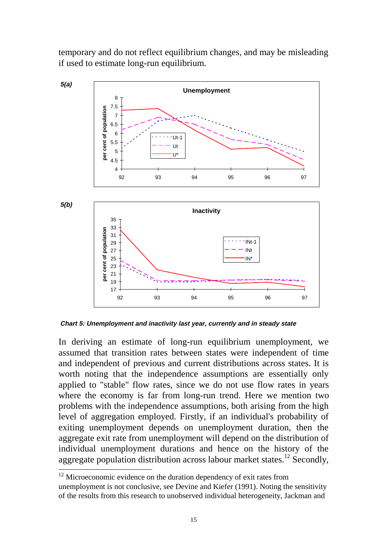temporary and do not reflect equilibrium changes, and may be misleading if used to estimate long-run equilibrium.



**Chart 5: Unemployment and inactivity last year, currently and in steady state**

In deriving an estimate of long-run equilibrium unemployment, we assumed that transition rates between states were independent of time and independent of previous and current distributions across states. It is worth noting that the independence assumptions are essentially only applied to "stable" flow rates, since we do not use flow rates in years where the economy is far from long-run trend. Here we mention two problems with the independence assumptions, both arising from the high level of aggregation employed. Firstly, if an individual's probability of exiting unemployment depends on unemployment duration, then the aggregate exit rate from unemployment will depend on the distribution of individual unemployment durations and hence on the history of the aggregate population distribution across labour market states.<sup>12</sup> Secondly,

<sup>&</sup>lt;sup>12</sup> Microeconomic evidence on the duration dependency of exit rates from unemployment is not conclusive, see Devine and Kiefer (1991). Noting the sensitivity of the results from this research to unobserved individual heterogeneity, Jackman and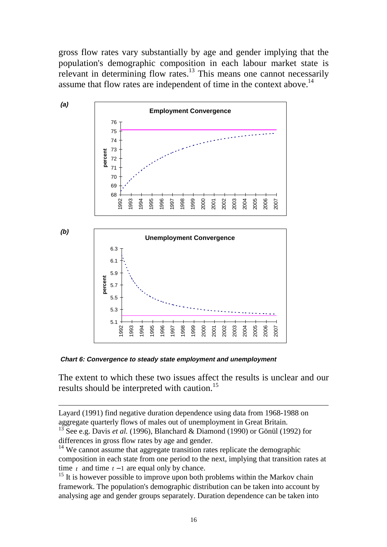gross flow rates vary substantially by age and gender implying that the population's demographic composition in each labour market state is relevant in determining flow rates.<sup>13</sup> This means one cannot necessarily assume that flow rates are independent of time in the context above.<sup>14</sup>



**Chart 6: Convergence to steady state employment and unemployment**

 $\overline{a}$ 

The extent to which these two issues affect the results is unclear and our results should be interpreted with caution.<sup>15</sup>

Layard (1991) find negative duration dependence using data from 1968-1988 on aggregate quarterly flows of males out of unemployment in Great Britain.

<sup>13</sup> See e.g. Davis *et al.* (1996), Blanchard & Diamond (1990) or Gönül (1992) for differences in gross flow rates by age and gender.

 $14$  We cannot assume that aggregate transition rates replicate the demographic composition in each state from one period to the next, implying that transition rates at time  $t_1$  and time  $t - 1$  are equal only by chance.

 $15$  It is however possible to improve upon both problems within the Markov chain framework. The population's demographic distribution can be taken into account by analysing age and gender groups separately. Duration dependence can be taken into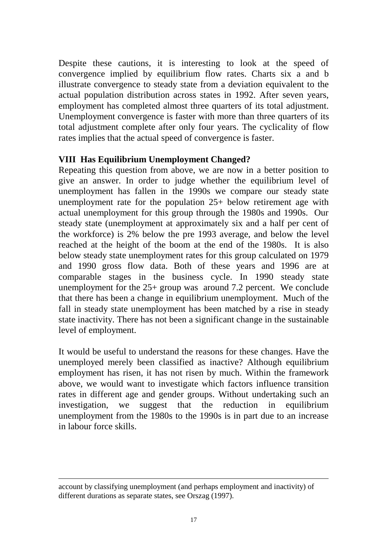Despite these cautions, it is interesting to look at the speed of convergence implied by equilibrium flow rates. Charts six a and b illustrate convergence to steady state from a deviation equivalent to the actual population distribution across states in 1992. After seven years, employment has completed almost three quarters of its total adjustment. Unemployment convergence is faster with more than three quarters of its total adjustment complete after only four years. The cyclicality of flow rates implies that the actual speed of convergence is faster.

#### **VIII Has Equilibrium Unemployment Changed?**

Repeating this question from above, we are now in a better position to give an answer. In order to judge whether the equilibrium level of unemployment has fallen in the 1990s we compare our steady state unemployment rate for the population 25+ below retirement age with actual unemployment for this group through the 1980s and 1990s. Our steady state (unemployment at approximately six and a half per cent of the workforce) is 2% below the pre 1993 average, and below the level reached at the height of the boom at the end of the 1980s. It is also below steady state unemployment rates for this group calculated on 1979 and 1990 gross flow data. Both of these years and 1996 are at comparable stages in the business cycle. In 1990 steady state unemployment for the 25+ group was around 7.2 percent. We conclude that there has been a change in equilibrium unemployment. Much of the fall in steady state unemployment has been matched by a rise in steady state inactivity. There has not been a significant change in the sustainable level of employment.

It would be useful to understand the reasons for these changes. Have the unemployed merely been classified as inactive? Although equilibrium employment has risen, it has not risen by much. Within the framework above, we would want to investigate which factors influence transition rates in different age and gender groups. Without undertaking such an investigation, we suggest that the reduction in equilibrium unemployment from the 1980s to the 1990s is in part due to an increase in labour force skills.

 $\overline{a}$ 

account by classifying unemployment (and perhaps employment and inactivity) of different durations as separate states, see Orszag (1997).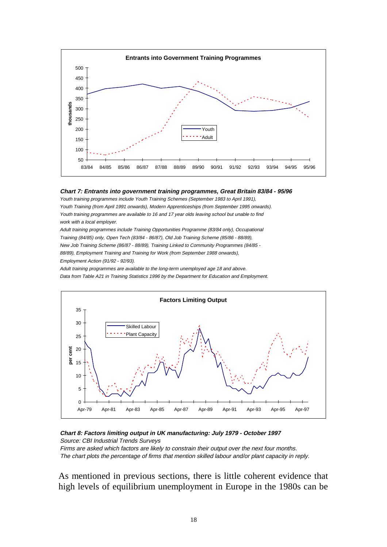

#### **Chart 7: Entrants into government training programmes, Great Britain 83/84 - 95/96**

Youth training programmes include Youth Training Schemes (September 1983 to April 1991), Youth Training (from April 1991 onwards), Modern Apprenticeships (from September 1995 onwards). Youth training programmes are available to 16 and 17 year olds leaving school but unable to find work with a local employer.

Adult training programmes include Training Opportunities Programme (83/84 only), Occupational Training (84/85) only, Open Tech (83/84 - 86/87), Old Job Training Scheme (85/86 - 88/89), New Job Training Scheme (86/87 - 88/89), Training Linked to Community Programmes (84/85 - 88/89), Employment Training and Training for Work (from September 1988 onwards), Employment Action (91/92 - 92/93).

Adult training programmes are available to the long-term unemployed age 18 and above. Data from Table A21 in Training Statistics 1996 by the Department for Education and Employment.



#### **Chart 8: Factors limiting output in UK manufacturing: July 1979 - October 1997** Source: CBI Industrial Trends Surveys Firms are asked which factors are likely to constrain their output over the next four months. The chart plots the percentage of firms that mention skilled labour and/or plant capacity in reply.

As mentioned in previous sections, there is little coherent evidence that high levels of equilibrium unemployment in Europe in the 1980s can be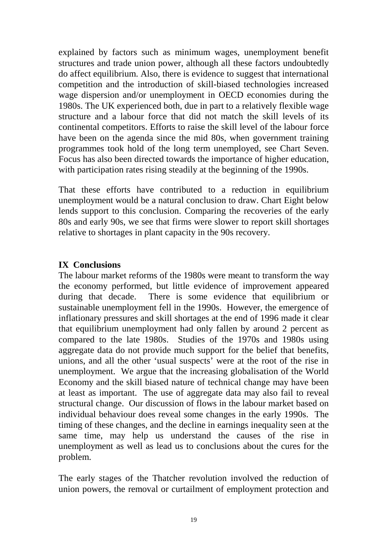explained by factors such as minimum wages, unemployment benefit structures and trade union power, although all these factors undoubtedly do affect equilibrium. Also, there is evidence to suggest that international competition and the introduction of skill-biased technologies increased wage dispersion and/or unemployment in OECD economies during the 1980s. The UK experienced both, due in part to a relatively flexible wage structure and a labour force that did not match the skill levels of its continental competitors. Efforts to raise the skill level of the labour force have been on the agenda since the mid 80s, when government training programmes took hold of the long term unemployed, see Chart Seven. Focus has also been directed towards the importance of higher education, with participation rates rising steadily at the beginning of the 1990s.

That these efforts have contributed to a reduction in equilibrium unemployment would be a natural conclusion to draw. Chart Eight below lends support to this conclusion. Comparing the recoveries of the early 80s and early 90s, we see that firms were slower to report skill shortages relative to shortages in plant capacity in the 90s recovery.

#### **IX Conclusions**

The labour market reforms of the 1980s were meant to transform the way the economy performed, but little evidence of improvement appeared during that decade. There is some evidence that equilibrium or sustainable unemployment fell in the 1990s. However, the emergence of inflationary pressures and skill shortages at the end of 1996 made it clear that equilibrium unemployment had only fallen by around 2 percent as compared to the late 1980s. Studies of the 1970s and 1980s using aggregate data do not provide much support for the belief that benefits, unions, and all the other 'usual suspects' were at the root of the rise in unemployment. We argue that the increasing globalisation of the World Economy and the skill biased nature of technical change may have been at least as important. The use of aggregate data may also fail to reveal structural change. Our discussion of flows in the labour market based on individual behaviour does reveal some changes in the early 1990s. The timing of these changes, and the decline in earnings inequality seen at the same time, may help us understand the causes of the rise in unemployment as well as lead us to conclusions about the cures for the problem.

The early stages of the Thatcher revolution involved the reduction of union powers, the removal or curtailment of employment protection and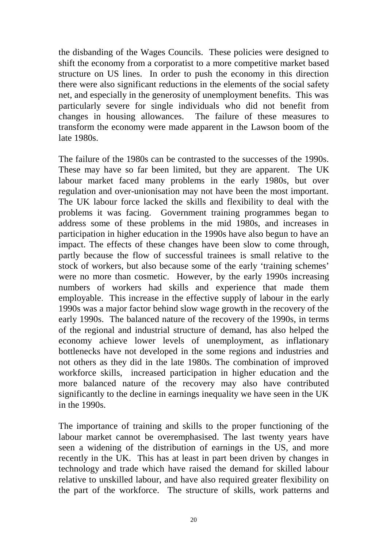the disbanding of the Wages Councils. These policies were designed to shift the economy from a corporatist to a more competitive market based structure on US lines. In order to push the economy in this direction there were also significant reductions in the elements of the social safety net, and especially in the generosity of unemployment benefits. This was particularly severe for single individuals who did not benefit from changes in housing allowances. The failure of these measures to transform the economy were made apparent in the Lawson boom of the late 1980s.

The failure of the 1980s can be contrasted to the successes of the 1990s. These may have so far been limited, but they are apparent. The UK labour market faced many problems in the early 1980s, but over regulation and over-unionisation may not have been the most important. The UK labour force lacked the skills and flexibility to deal with the problems it was facing. Government training programmes began to address some of these problems in the mid 1980s, and increases in participation in higher education in the 1990s have also begun to have an impact. The effects of these changes have been slow to come through, partly because the flow of successful trainees is small relative to the stock of workers, but also because some of the early 'training schemes' were no more than cosmetic. However, by the early 1990s increasing numbers of workers had skills and experience that made them employable. This increase in the effective supply of labour in the early 1990s was a major factor behind slow wage growth in the recovery of the early 1990s. The balanced nature of the recovery of the 1990s, in terms of the regional and industrial structure of demand, has also helped the economy achieve lower levels of unemployment, as inflationary bottlenecks have not developed in the some regions and industries and not others as they did in the late 1980s. The combination of improved workforce skills, increased participation in higher education and the more balanced nature of the recovery may also have contributed significantly to the decline in earnings inequality we have seen in the UK in the 1990s.

The importance of training and skills to the proper functioning of the labour market cannot be overemphasised. The last twenty years have seen a widening of the distribution of earnings in the US, and more recently in the UK. This has at least in part been driven by changes in technology and trade which have raised the demand for skilled labour relative to unskilled labour, and have also required greater flexibility on the part of the workforce. The structure of skills, work patterns and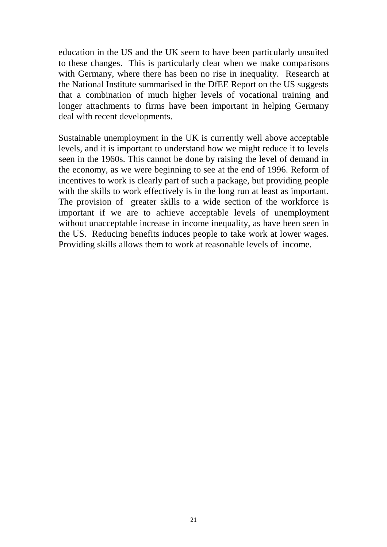education in the US and the UK seem to have been particularly unsuited to these changes. This is particularly clear when we make comparisons with Germany, where there has been no rise in inequality. Research at the National Institute summarised in the DfEE Report on the US suggests that a combination of much higher levels of vocational training and longer attachments to firms have been important in helping Germany deal with recent developments.

Sustainable unemployment in the UK is currently well above acceptable levels, and it is important to understand how we might reduce it to levels seen in the 1960s. This cannot be done by raising the level of demand in the economy, as we were beginning to see at the end of 1996. Reform of incentives to work is clearly part of such a package, but providing people with the skills to work effectively is in the long run at least as important. The provision of greater skills to a wide section of the workforce is important if we are to achieve acceptable levels of unemployment without unacceptable increase in income inequality, as have been seen in the US. Reducing benefits induces people to take work at lower wages. Providing skills allows them to work at reasonable levels of income.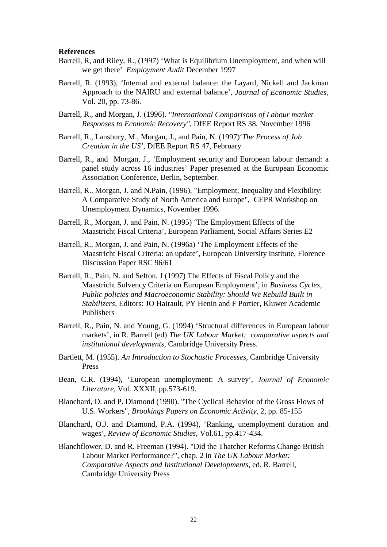#### **References**

- Barrell, R, and Riley, R., (1997) 'What is Equilibrium Unemployment, and when will we get there' *Employment Audit* December 1997
- Barrell, R. (1993), 'Internal and external balance: the Layard, Nickell and Jackman Approach to the NAIRU and external balance', *Journal of Economic Studies*, Vol. 20, pp. 73-86.
- Barrell, R., and Morgan, J. (1996). *"International Comparisons of Labour market Responses to Economic Recovery",* DfEE Report RS 38, November 1996
- Barrell, R., Lansbury, M., Morgan, J., and Pain, N. (1997)'*The Process of Job Creation in the US'*, DfEE Report RS 47, February
- Barrell, R., and Morgan, J.*,* 'Employment security and European labour demand: a panel study across 16 industries' Paper presented at the European Economic Association Conference, Berlin, September.
- Barrell, R., Morgan, J. and N.Pain, (1996), "Employment, Inequality and Flexibility: A Comparative Study of North America and Europe", CEPR Workshop on Unemployment Dynamics, November 1996.
- Barrell, R., Morgan, J. and Pain, N. (1995) 'The Employment Effects of the Maastricht Fiscal Criteria', European Parliament, Social Affairs Series E2
- Barrell, R., Morgan, J. and Pain, N. (1996a) 'The Employment Effects of the Maastricht Fiscal Criteria: an update', European University Institute, Florence Discussion Paper RSC 96/61
- Barrell, R., Pain, N. and Sefton, J (1997) The Effects of Fiscal Policy and the Maastricht Solvency Criteria on European Employment', in *Business Cycles, Public policies and Macroeconomic Stability: Should We Rebuild Built in Stabilizers*, Editors: JO Hairault, PY Henin and F Portier, Kluwer Academic Publishers
- Barrell, R., Pain, N. and Young, G. (1994) 'Structural differences in European labour markets', in R. Barrell (ed) *The UK Labour Market: comparative aspects and institutional developments*, Cambridge University Press.
- Bartlett, M. (1955). *An Introduction to Stochastic Processes*, Cambridge University Press
- Bean, C.R. (1994), 'European unemployment: A survey', *Journal of Economic Literature*, Vol. XXXII, pp.573-619.
- Blanchard, O. and P. Diamond (1990). "The Cyclical Behavior of the Gross Flows of U.S. Workers", *Brookings Papers on Economic Activity,* 2, pp. 85-155
- Blanchard, O.J. and Diamond, P.A. (1994), 'Ranking, unemployment duration and wages', *Review of Economic Studies*, Vol.61, pp.417-434.
- Blanchflower, D. and R. Freeman (1994). "Did the Thatcher Reforms Change British Labour Market Performance?", chap. 2 in *The UK Labour Market: Comparative Aspects and Institutional Developments*, ed. R. Barrell, Cambridge University Press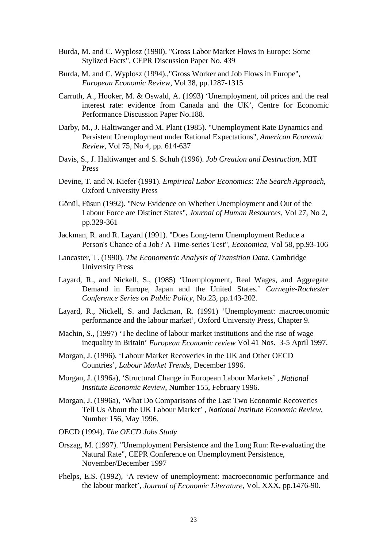- Burda, M. and C. Wyplosz (1990). "Gross Labor Market Flows in Europe: Some Stylized Facts", CEPR Discussion Paper No. 439
- Burda, M. and C. Wyplosz (1994).,"Gross Worker and Job Flows in Europe", *European Economic Review*, Vol 38, pp.1287-1315
- Carruth, A., Hooker, M. & Oswald, A. (1993) 'Unemployment, oil prices and the real interest rate: evidence from Canada and the UK', Centre for Economic Performance Discussion Paper No.188.
- Darby, M., J. Haltiwanger and M. Plant (1985). "Unemployment Rate Dynamics and Persistent Unemployment under Rational Expectations", *American Economic Review*, Vol 75, No 4, pp. 614-637
- Davis, S., J. Haltiwanger and S. Schuh (1996). *Job Creation and Destruction*, MIT Press
- Devine, T. and N. Kiefer (1991). *Empirical Labor Economics: The Search Approach*, Oxford University Press
- Gönül, Füsun (1992). "New Evidence on Whether Unemployment and Out of the Labour Force are Distinct States", *Journal of Human Resources*, Vol 27, No 2, pp.329-361
- Jackman, R. and R. Layard (1991). "Does Long-term Unemployment Reduce a Person's Chance of a Job? A Time-series Test", *Economica*, Vol 58, pp.93-106
- Lancaster, T. (1990). *The Econometric Analysis of Transition Data*, Cambridge University Press
- Layard, R., and Nickell, S., (1985) 'Unemployment, Real Wages, and Aggregate Demand in Europe, Japan and the United States.' *Carnegie-Rochester Conference Series on Public Policy*, No.23, pp.143-202.
- Layard, R., Nickell, S. and Jackman, R. (1991) 'Unemployment: macroeconomic performance and the labour market', Oxford University Press, Chapter 9.
- Machin, S., (1997) 'The decline of labour market institutions and the rise of wage inequality in Britain' *European Economic review* Vol 41 Nos. 3-5 April 1997.
- Morgan, J. (1996), 'Labour Market Recoveries in the UK and Other OECD Countries', *Labour Market Trends*, December 1996.
- Morgan, J. (1996a), 'Structural Change in European Labour Markets' , *National Institute Economic Review*, Number 155, February 1996.
- Morgan, J. (1996a), 'What Do Comparisons of the Last Two Economic Recoveries Tell Us About the UK Labour Market' , *National Institute Economic Review*, Number 156, May 1996.
- OECD (1994). *The OECD Jobs Study*
- Orszag, M. (1997). "Unemployment Persistence and the Long Run: Re-evaluating the Natural Rate", CEPR Conference on Unemployment Persistence, November/December 1997
- Phelps, E.S. (1992), 'A review of unemployment: macroeconomic performance and the labour market', *Journal of Economic Literature*, Vol. XXX, pp.1476-90.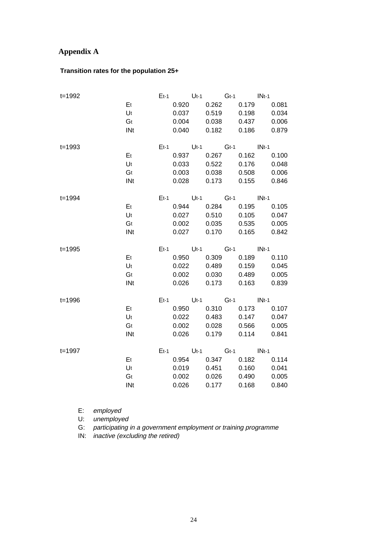### **Appendix A**

#### **Transition rates for the population 25+**

| $t = 1992$ |            |       |             |             | Et-1 Ut-1 Gt-1 INt-1                                     |  |
|------------|------------|-------|-------------|-------------|----------------------------------------------------------|--|
|            | Et         |       |             |             | 0.920  0.262  0.179  0.081                               |  |
|            | Ut         | 0.037 | 0.519       |             | 0.198 0.034                                              |  |
|            | Gt         |       |             |             | 0.004 0.038 0.437 0.006                                  |  |
|            | INt        |       |             |             | 0.040  0.182  0.186  0.879                               |  |
| $t = 1993$ |            |       |             |             | Et-1 Ut-1 Gt-1 INt-1                                     |  |
|            | Et         |       |             |             | 0.937 0.267 0.162 0.100                                  |  |
|            | Ut         |       |             |             | 0.033  0.522  0.176  0.048                               |  |
|            | Gt         |       |             |             | 0.003 0.038 0.508 0.006                                  |  |
|            | INt        |       |             |             | 0.028  0.173  0.155  0.846                               |  |
| $t = 1994$ |            |       |             |             | Et-1 Ut-1 Gt-1 INt-1                                     |  |
|            | Et         |       |             |             | 0.944 0.284 0.195 0.105                                  |  |
|            | Ut         |       |             |             | 0.027  0.510  0.105  0.047                               |  |
|            | Gt         |       |             |             | 0.002 0.035 0.535 0.005                                  |  |
|            | INt        |       |             |             | 0.027  0.170  0.165  0.842                               |  |
| $t = 1995$ |            |       |             |             | Et-1 Ut-1 Gt-1 INt-1                                     |  |
|            |            |       |             |             |                                                          |  |
|            | Et         |       |             |             |                                                          |  |
|            | Ut         |       |             |             | 0.950 0.309 0.189 0.110<br>0.022  0.489  0.159  0.045    |  |
|            | Gt         | 0.002 |             | 0.030 0.489 | 0.005                                                    |  |
|            | INt        | 0.026 |             |             | 0.173  0.163  0.839                                      |  |
|            |            |       |             |             |                                                          |  |
| $t = 1996$ | Et         |       |             |             | $Et-1$ Ut-1 Gt-1 INt-1<br>0.950  0.310  0.173  0.107     |  |
|            | Ut         | 0.022 |             |             | 0.483  0.147  0.047                                      |  |
|            | Gt         |       | 0.002 0.028 |             |                                                          |  |
|            | <b>INt</b> |       |             |             | 0.566 0.005<br>0.026  0.179  0.114  0.841                |  |
|            |            |       |             |             |                                                          |  |
| t=1997     | Et         |       |             |             | Et-1 Ut-1 Gt-1 INt-1                                     |  |
|            |            |       |             |             | 0.954 0.347 0.182 0.114                                  |  |
|            | Ut<br>Gt   |       |             |             | 0.019   0.451   0.160   0.041<br>0.002 0.026 0.490 0.005 |  |

E: employed

U: unemployed

G: participating in a government employment or training programme

IN: inactive (excluding the retired)